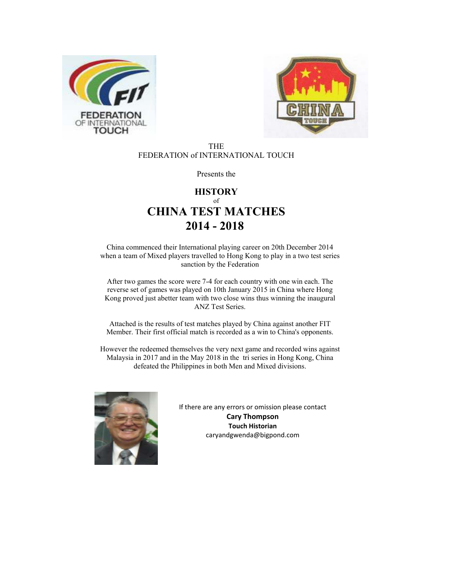



#### THE FEDERATION of INTERNATIONAL TOUCH

Presents the

## **HISTORY** of **CHINA TEST MATCHES 2014 - 2018**

China commenced their International playing career on 20th December 2014 when a team of Mixed players travelled to Hong Kong to play in a two test series sanction by the Federation

After two games the score were 7-4 for each country with one win each. The reverse set of games was played on 10th January 2015 in China where Hong Kong proved just abetter team with two close wins thus winning the inaugural ANZ Test Series.

Attached is the results of test matches played by China against another FIT Member. Their first official match is recorded as a win to China's opponents.

However the redeemed themselves the very next game and recorded wins against Malaysia in 2017 and in the May 2018 in the tri series in Hong Kong, China defeated the Philippines in both Men and Mixed divisions.



If there are any errors or omission please contact **Cary Thompson Touch Historian**  caryandgwenda@bigpond.com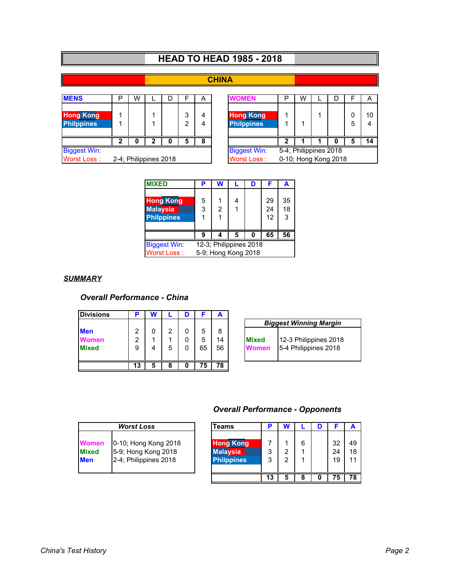# **HEAD TO HEAD 1985 - 2018**

## **CHINA**

| <b>Biggest Win:</b><br>Worst Loss:<br>2-4; Philippines 2018 |   |   |  |   |        |        | <b>Biggest Win:</b><br>Worst Loss:    | 5-4; Philippines 2018<br>0-10; Hong Kong 2018 |   |  |   |   |                      |
|-------------------------------------------------------------|---|---|--|---|--------|--------|---------------------------------------|-----------------------------------------------|---|--|---|---|----------------------|
|                                                             |   | O |  |   | 5      | 8      |                                       | ┓                                             |   |  |   | 5 | 14                   |
| <b>Hong Kong</b><br><b>Philppines</b>                       |   |   |  |   | 3<br>っ | 4<br>4 | <b>Hong Kong</b><br><b>Philppines</b> |                                               |   |  |   | 5 | 10<br>$\overline{4}$ |
| <b>MENS</b>                                                 | D | W |  | D |        | Α      | <b>WOMEN</b>                          | D                                             | W |  | D |   | A                    |

| Þ | W                   |    |   |        | Α | <b>/OMEN</b>                              | ₽ | W |                                               |   |    |
|---|---------------------|----|---|--------|---|-------------------------------------------|---|---|-----------------------------------------------|---|----|
| 1 |                     |    |   | 3<br>າ |   | <b>Hong Kong</b><br><b>Philppines</b>     |   |   |                                               | 5 | 10 |
| 2 | O                   | כי | 0 | 5      | 8 |                                           |   |   |                                               | 5 | 14 |
|   | 4; Philippines 2018 |    |   |        |   | <b>Biggest Win:</b><br><b>Worst Loss:</b> |   |   | 5-4; Philippines 2018<br>0-10; Hong Kong 2018 |   |    |

| <b>MIXED</b>                                             | P      |                        |   | D | F              | А             |
|----------------------------------------------------------|--------|------------------------|---|---|----------------|---------------|
| <b>Hong Kong</b><br><b>Malaysia</b><br><b>Philppines</b> | 5<br>3 | 2                      |   |   | 29<br>24<br>12 | 35<br>18<br>3 |
|                                                          | 9      |                        | 5 | 0 | 65             | 56            |
| <b>Biggest Win:</b>                                      |        | 12-3; Philippines 2018 |   |   |                |               |
| <b>Worst Loss:</b>                                       |        | 5-9; Hong Kong 2018    |   |   |                |               |

#### *SUMMARY*

### *Overall Performance - China*

| <b>Divisions</b>                           | ∍           |   |        | D |              | A             |                       |                                               |
|--------------------------------------------|-------------|---|--------|---|--------------|---------------|-----------------------|-----------------------------------------------|
|                                            |             |   |        |   |              |               |                       | <b>Biggest Winning Margin</b>                 |
| <b>Men</b><br><b>Women</b><br><b>Mixed</b> | 2<br>2<br>9 |   | 2<br>5 | 0 | 5<br>5<br>65 | 8<br>14<br>56 | <b>Mixed</b><br>Women | 12-3 Philippines 2018<br>5-4 Philippines 2018 |
|                                            | 13          | 5 | 8      | O | 5            | 78            |                       |                                               |

|                              | <b>Biggest Winning Margin</b>                 |  |
|------------------------------|-----------------------------------------------|--|
| <b>Mixed</b><br><b>Nomen</b> | 12-3 Philippines 2018<br>5-4 Philippines 2018 |  |

## *Overall Performance - Opponents*

|              | <b>Worst Loss</b>     |
|--------------|-----------------------|
| Women        | 0-10; Hong Kong 2018  |
| <b>Mixed</b> | 5-9; Hong Kong 2018   |
| len          | 2-4; Philippines 2018 |

|                              | <b>Worst Loss</b>                                                    | <b>Teams</b>                                             |        | N      |   |                |                |
|------------------------------|----------------------------------------------------------------------|----------------------------------------------------------|--------|--------|---|----------------|----------------|
| Women<br><b>Mixed</b><br>Men | 0-10; Hong Kong 2018<br>5-9; Hong Kong 2018<br>2-4; Philippines 2018 | <b>Hong Kong</b><br><b>Malaysia</b><br><b>Philppines</b> | 3<br>3 | っ<br>2 | 6 | 32<br>24<br>19 | 49<br>18<br>11 |
|                              |                                                                      |                                                          | 13     | 5      |   | 75             | 78             |